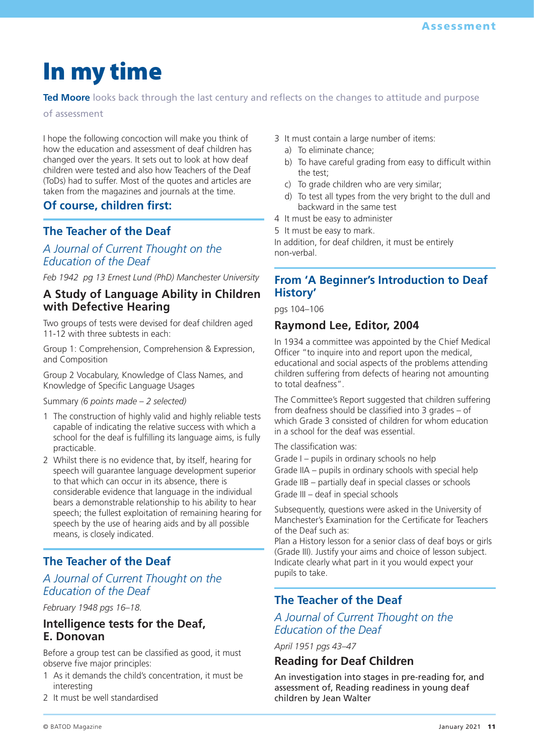# **In my time**

**Ted Moore** looks back through the last century and reflects on the changes to attitude and purpose

of assessment

I hope the following concoction will make you think of how the education and assessment of deaf children has changed over the years. It sets out to look at how deaf children were tested and also how Teachers of the Deaf (ToDs) had to suffer. Most of the quotes and articles are taken from the magazines and journals at the time.

## **Of course, children first:**

## **The Teacher of the Deaf**

## *A Journal of Current Thought on the Education of the Deaf*

*Feb 1942 pg 13 Ernest Lund (PhD) Manchester University*

## **A Study of Language Ability in Children with Defective Hearing**

Two groups of tests were devised for deaf children aged 11-12 with three subtests in each:

Group 1: Comprehension, Comprehension & Expression, and Composition

Group 2 Vocabulary, Knowledge of Class Names, and Knowledge of Specific Language Usages

Summary *(6 points made – 2 selected)*

- 1 The construction of highly valid and highly reliable tests capable of indicating the relative success with which a school for the deaf is fulfilling its language aims, is fully practicable.
- 2 Whilst there is no evidence that, by itself, hearing for speech will guarantee language development superior to that which can occur in its absence, there is considerable evidence that language in the individual bears a demonstrable relationship to his ability to hear speech; the fullest exploitation of remaining hearing for speech by the use of hearing aids and by all possible means, is closely indicated.

## **The Teacher of the Deaf**

## *A Journal of Current Thought on the Education of the Deaf*

*February 1948 pgs 16–18.* 

## **Intelligence tests for the Deaf, E. Donovan**

Before a group test can be classified as good, it must observe five major principles:

- 1 As it demands the child's concentration, it must be interesting
- 2 It must be well standardised
- 3 It must contain a large number of items:
	- a) To eliminate chance;
	- b) To have careful grading from easy to difficult within the test;
	- c) To grade children who are very similar;
	- d) To test all types from the very bright to the dull and backward in the same test
- 4 It must be easy to administer
- 5 It must be easy to mark.

In addition, for deaf children, it must be entirely non-verbal.

## **From 'A Beginner's Introduction to Deaf History'**

pgs 104–106

## **Raymond Lee, Editor, 2004**

In 1934 a committee was appointed by the Chief Medical Officer "to inquire into and report upon the medical, educational and social aspects of the problems attending children suffering from defects of hearing not amounting to total deafness".

The Committee's Report suggested that children suffering from deafness should be classified into 3 grades – of which Grade 3 consisted of children for whom education in a school for the deaf was essential.

The classification was:

Grade I – pupils in ordinary schools no help Grade IIA – pupils in ordinary schools with special help Grade IIB – partially deaf in special classes or schools Grade III – deaf in special schools

Subsequently, questions were asked in the University of Manchester's Examination for the Certificate for Teachers of the Deaf such as:

Plan a History lesson for a senior class of deaf boys or girls (Grade III). Justify your aims and choice of lesson subject. Indicate clearly what part in it you would expect your pupils to take.

## **The Teacher of the Deaf**

## *A Journal of Current Thought on the Education of the Deaf*

*April 1951 pgs 43–47*

## **Reading for Deaf Children**

An investigation into stages in pre-reading for, and assessment of, Reading readiness in young deaf children by Jean Walter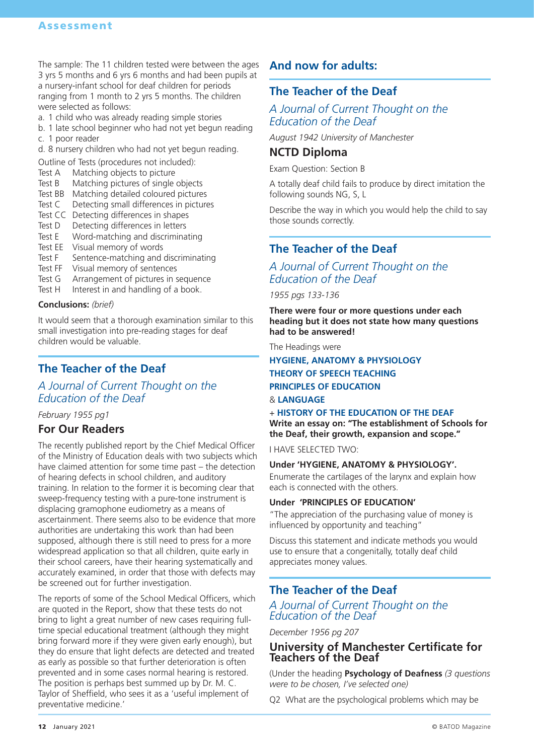The sample: The 11 children tested were between the ages 3 yrs 5 months and 6 yrs 6 months and had been pupils at a nursery-infant school for deaf children for periods ranging from 1 month to 2 yrs 5 months. The children were selected as follows:

- a. 1 child who was already reading simple stories
- b. 1 late school beginner who had not yet begun reading c. 1 poor reader
- d. 8 nursery children who had not yet begun reading.

Outline of Tests (procedures not included):

- Test A Matching objects to picture
- Test B Matching pictures of single objects
- Test BB Matching detailed coloured pictures
- Test C Detecting small differences in pictures
- Test CC Detecting differences in shapes
- Test D Detecting differences in letters
- Test E Word-matching and discriminating
- Test EE Visual memory of words
- Test F Sentence-matching and discriminating
- Test FF Visual memory of sentences
- Test G Arrangement of pictures in sequence<br>Test H Interest in and handling of a book.
- Interest in and handling of a book.

#### **Conclusions:** *(brief)*

It would seem that a thorough examination similar to this small investigation into pre-reading stages for deaf children would be valuable.

## **The Teacher of the Deaf**

### *A Journal of Current Thought on the Education of the Deaf*

#### *February 1955 pg1*

### **For Our Readers**

The recently published report by the Chief Medical Officer of the Ministry of Education deals with two subjects which have claimed attention for some time past – the detection of hearing defects in school children, and auditory training. In relation to the former it is becoming clear that sweep-frequency testing with a pure-tone instrument is displacing gramophone eudiometry as a means of ascertainment. There seems also to be evidence that more authorities are undertaking this work than had been supposed, although there is still need to press for a more widespread application so that all children, quite early in their school careers, have their hearing systematically and accurately examined, in order that those with defects may be screened out for further investigation.

The reports of some of the School Medical Officers, which are quoted in the Report, show that these tests do not bring to light a great number of new cases requiring fulltime special educational treatment (although they might bring forward more if they were given early enough), but they do ensure that light defects are detected and treated as early as possible so that further deterioration is often prevented and in some cases normal hearing is restored. The position is perhaps best summed up by Dr. M. C. Taylor of Sheffield, who sees it as a 'useful implement of preventative medicine.'

## **And now for adults:**

## **The Teacher of the Deaf**

### *A Journal of Current Thought on the Education of the Deaf*

*August 1942 University of Manchester*

### **NCTD Diploma**

Exam Question: Section B

A totally deaf child fails to produce by direct imitation the following sounds NG, S, L

Describe the way in which you would help the child to say those sounds correctly.

## **The Teacher of the Deaf**

## *A Journal of Current Thought on the Education of the Deaf*

*1955 pgs 133-136*

**There were four or more questions under each heading but it does not state how many questions had to be answered!**

The Headings were

#### **HYGIENE, ANATOMY & PHYSIOLOGY THEORY OF SPEECH TEACHING PRINCIPLES OF EDUCATION** & **LANGUAGE**

#### + **HISTORY OF THE EDUCATION OF THE DEAF**

**Write an essay on: "The establishment of Schools for the Deaf, their growth, expansion and scope."**

I HAVE SELECTED TWO:

#### **Under 'HYGIENE, ANATOMY & PHYSIOLOGY'.**

Enumerate the cartilages of the larynx and explain how each is connected with the others.

#### **Under 'PRINCIPLES OF EDUCATION'**

"The appreciation of the purchasing value of money is influenced by opportunity and teaching"

Discuss this statement and indicate methods you would use to ensure that a congenitally, totally deaf child appreciates money values.

## **The Teacher of the Deaf**

### *A Journal of Current Thought on the Education of the Deaf*

*December 1956 pg 207*

### **University of Manchester Certificate for Teachers of the Deaf**

(Under the heading **Psychology of Deafness** *(3 questions were to be chosen, I've selected one)*

Q2 What are the psychological problems which may be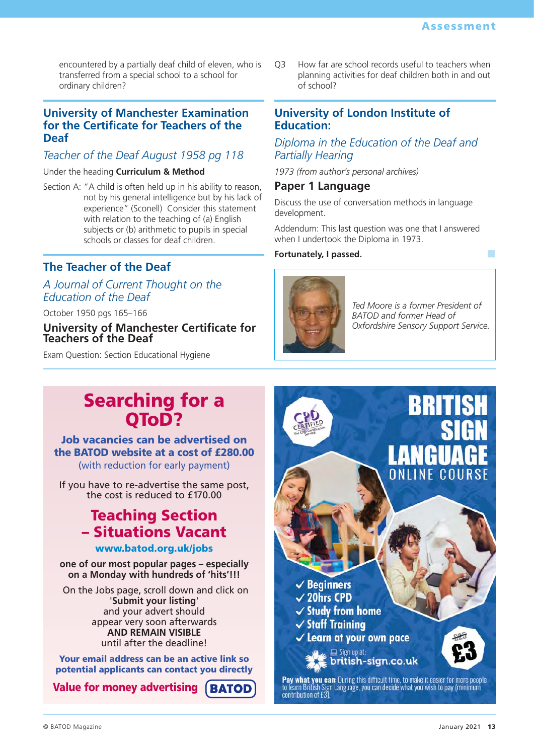encountered by a partially deaf child of eleven, who is transferred from a special school to a school for ordinary children?

## **University of Manchester Examination for the Certificate for Teachers of the Deaf**

## *Teacher of the Deaf August 1958 pg 118*

#### Under the heading **Curriculum & Method**

Section A: "A child is often held up in his ability to reason, not by his general intelligence but by his lack of experience" (Sconell) Consider this statement with relation to the teaching of (a) English subjects or (b) arithmetic to pupils in special schools or classes for deaf children.

## **The Teacher of the Deaf**

## *A Journal of Current Thought on the Education of the Deaf*

October 1950 pgs 165–166

#### **University of Manchester Certificate for Teachers of the Deaf**

Exam Question: Section Educational Hygiene

Q3 How far are school records useful to teachers when planning activities for deaf children both in and out of school?

## **University of London Institute of Education:**

## *Diploma in the Education of the Deaf and Partially Hearing*

*1973 (from author's personal archives)*

### **Paper 1 Language**

Discuss the use of conversation methods in language development.

Addendum: This last question was one that I answered when I undertook the Diploma in 1973.

#### **Fortunately, I passed.** ■



*Ted Moore is a former President of BATOD and former Head of Oxfordshire Sensory Support Service.*

## Searching for a QToD?

## Job vacancies can be advertised on the BATOD website at a cost of £280.00 (with reduction for early payment)

If you have to re-advertise the same post, the cost is reduced to £170.00

## Teaching Section – Situations Vacant

## www.batod.org.uk/jobs

**one of our most popular pages – especially on a Monday with hundreds of 'hits'!!!**

On the Jobs page, scroll down and click on '**Submit your listing**' and your advert should appear very soon afterwards **AND REMAIN VISIBLE** until after the deadline!

Your email address can be an active link so potential applicants can contact you directly

Value for money advertising**BATOD**